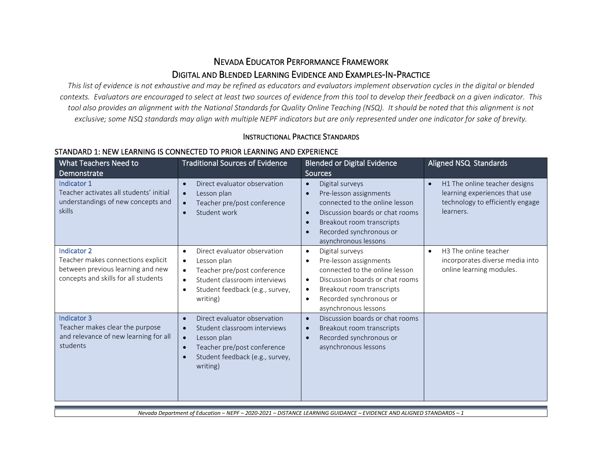# NEVADA EDUCATOR PERFORMANCE FRAMEWORK DIGITAL AND BLENDED LEARNING EVIDENCE AND EXAMPLES-IN-PRACTICE

*This list of evidence is not exhaustive and may be refined as educators and evaluators implement observation cycles in the digital or blended contexts. Evaluators are encouraged to select at least two sources of evidence from this tool to develop their feedback on a given indicator. This tool also provides an alignment with the National Standards for Quality Online Teaching (NSQ). It should be noted that this alignment is not exclusive; some NSQ standards may align with multiple NEPF indicators but are only represented under one indicator for sake of brevity.*

#### INSTRUCTIONAL PRACTICE STANDARDS

### STANDARD 1: NEW LEARNING IS CONNECTED TO PRIOR LEARNING AND EXPERIENCE

| What Teachers Need to<br>Demonstrate                                                                                                  | <b>Traditional Sources of Evidence</b>                                                                                                                                                                                     | <b>Blended or Digital Evidence</b><br><b>Sources</b>                                                                                                                                                                                                            | Aligned NSQ Standards                                                                                                        |
|---------------------------------------------------------------------------------------------------------------------------------------|----------------------------------------------------------------------------------------------------------------------------------------------------------------------------------------------------------------------------|-----------------------------------------------------------------------------------------------------------------------------------------------------------------------------------------------------------------------------------------------------------------|------------------------------------------------------------------------------------------------------------------------------|
| Indicator 1<br>Teacher activates all students' initial<br>understandings of new concepts and<br>skills                                | Direct evaluator observation<br>$\bullet$<br>Lesson plan<br>$\bullet$<br>Teacher pre/post conference<br>$\bullet$<br>Student work<br>$\bullet$                                                                             | Digital surveys<br>$\bullet$<br>Pre-lesson assignments<br>$\bullet$<br>connected to the online lesson<br>Discussion boards or chat rooms<br>$\bullet$<br>Breakout room transcripts<br>$\bullet$<br>Recorded synchronous or<br>$\bullet$<br>asynchronous lessons | H1 The online teacher designs<br>$\bullet$<br>learning experiences that use<br>technology to efficiently engage<br>learners. |
| <b>Indicator 2</b><br>Teacher makes connections explicit<br>between previous learning and new<br>concepts and skills for all students | Direct evaluator observation<br>$\bullet$<br>Lesson plan<br>$\bullet$<br>Teacher pre/post conference<br>$\bullet$<br>Student classroom interviews<br>$\bullet$<br>Student feedback (e.g., survey,<br>$\bullet$<br>writing) | Digital surveys<br>$\bullet$<br>Pre-lesson assignments<br>$\bullet$<br>connected to the online lesson<br>Discussion boards or chat rooms<br>$\bullet$<br>Breakout room transcripts<br>$\bullet$<br>Recorded synchronous or<br>$\bullet$<br>asynchronous lessons | H3 The online teacher<br>$\bullet$<br>incorporates diverse media into<br>online learning modules.                            |
| <b>Indicator 3</b><br>Teacher makes clear the purpose<br>and relevance of new learning for all<br>students                            | Direct evaluator observation<br>$\bullet$<br>Student classroom interviews<br>$\bullet$<br>Lesson plan<br>$\bullet$<br>Teacher pre/post conference<br>$\bullet$<br>Student feedback (e.g., survey,<br>$\bullet$<br>writing) | Discussion boards or chat rooms<br>$\bullet$<br>Breakout room transcripts<br>$\bullet$<br>Recorded synchronous or<br>$\bullet$<br>asynchronous lessons                                                                                                          |                                                                                                                              |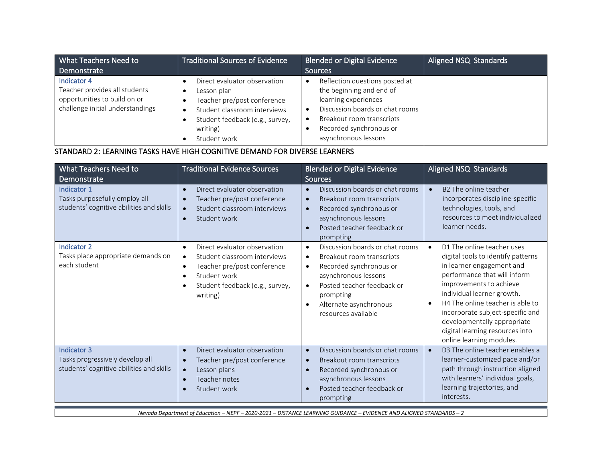| What Teachers Need to                                                                                            | <b>Traditional Sources of Evidence</b>                                                                                                                                    | <b>Blended or Digital Evidence</b>                                                                                                                                                                                              | Aligned NSQ Standards |
|------------------------------------------------------------------------------------------------------------------|---------------------------------------------------------------------------------------------------------------------------------------------------------------------------|---------------------------------------------------------------------------------------------------------------------------------------------------------------------------------------------------------------------------------|-----------------------|
| Demonstrate                                                                                                      |                                                                                                                                                                           | <b>Sources</b>                                                                                                                                                                                                                  |                       |
| Indicator 4<br>Teacher provides all students<br>opportunities to build on or<br>challenge initial understandings | Direct evaluator observation<br>Lesson plan<br>Teacher pre/post conference<br>Student classroom interviews<br>Student feedback (e.g., survey,<br>writing)<br>Student work | Reflection questions posted at<br>$\bullet$<br>the beginning and end of<br>learning experiences<br>Discussion boards or chat rooms<br>Breakout room transcripts<br>$\bullet$<br>Recorded synchronous or<br>asynchronous lessons |                       |

### STANDARD 2: LEARNING TASKS HAVE HIGH COGNITIVE DEMAND FOR DIVERSE LEARNERS

| What Teachers Need to<br>Demonstrate                                                       | <b>Traditional Evidence Sources</b>                                                                                                                                                                                         | <b>Blended or Digital Evidence</b><br>Sources                                                                                                                                                                                                                                | Aligned NSQ Standards                                                                                                                                                                                                                                                                                                                                                     |
|--------------------------------------------------------------------------------------------|-----------------------------------------------------------------------------------------------------------------------------------------------------------------------------------------------------------------------------|------------------------------------------------------------------------------------------------------------------------------------------------------------------------------------------------------------------------------------------------------------------------------|---------------------------------------------------------------------------------------------------------------------------------------------------------------------------------------------------------------------------------------------------------------------------------------------------------------------------------------------------------------------------|
| Indicator 1<br>Tasks purposefully employ all<br>students' cognitive abilities and skills   | Direct evaluator observation<br>$\bullet$<br>Teacher pre/post conference<br>$\bullet$<br>Student classroom interviews<br>$\bullet$<br>Student work<br>$\bullet$                                                             | Discussion boards or chat rooms<br>$\bullet$<br>Breakout room transcripts<br>$\bullet$<br>Recorded synchronous or<br>$\bullet$<br>asynchronous lessons<br>Posted teacher feedback or<br>$\bullet$<br>prompting                                                               | B <sub>2</sub> The online teacher<br>$\bullet$<br>incorporates discipline-specific<br>technologies, tools, and<br>resources to meet individualized<br>learner needs.                                                                                                                                                                                                      |
| <b>Indicator 2</b><br>Tasks place appropriate demands on<br>each student                   | Direct evaluator observation<br>$\bullet$<br>Student classroom interviews<br>$\bullet$<br>Teacher pre/post conference<br>$\bullet$<br>Student work<br>$\bullet$<br>Student feedback (e.g., survey,<br>$\bullet$<br>writing) | Discussion boards or chat rooms<br>$\bullet$<br>Breakout room transcripts<br>$\bullet$<br>Recorded synchronous or<br>$\bullet$<br>asynchronous lessons<br>Posted teacher feedback or<br>$\bullet$<br>prompting<br>Alternate asynchronous<br>$\bullet$<br>resources available | D1 The online teacher uses<br>$\bullet$<br>digital tools to identify patterns<br>in learner engagement and<br>performance that will inform<br>improvements to achieve<br>individual learner growth.<br>H4 The online teacher is able to<br>incorporate subject-specific and<br>developmentally appropriate<br>digital learning resources into<br>online learning modules. |
| Indicator 3<br>Tasks progressively develop all<br>students' cognitive abilities and skills | Direct evaluator observation<br>$\bullet$<br>Teacher pre/post conference<br>$\bullet$<br>Lesson plans<br>$\bullet$<br>Teacher notes<br>$\bullet$<br>Student work<br>$\bullet$                                               | Discussion boards or chat rooms<br>$\bullet$<br>Breakout room transcripts<br>$\bullet$<br>Recorded synchronous or<br>$\bullet$<br>asynchronous lessons<br>Posted teacher feedback or<br>$\bullet$<br>prompting                                                               | D3 The online teacher enables a<br>learner-customized pace and/or<br>path through instruction aligned<br>with learners' individual goals,<br>learning trajectories, and<br>interests.                                                                                                                                                                                     |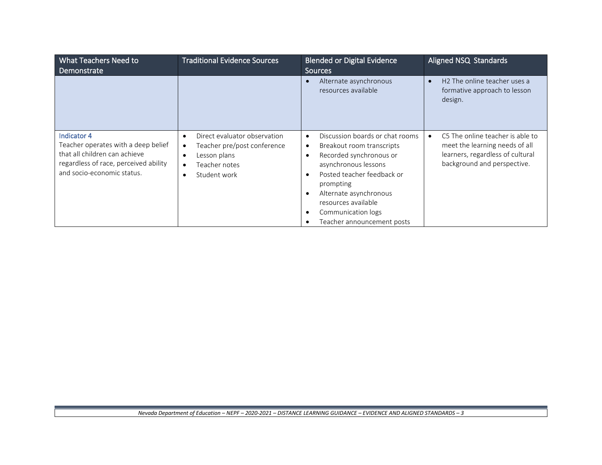| What Teachers Need to<br>Demonstrate                                                                                                                       | <b>Traditional Evidence Sources</b>                                                                                                                              | <b>Blended or Digital Evidence</b><br><b>Sources</b>                                                                                                                                                                                                                                                                                                       | Aligned NSQ Standards                                                                                                                 |
|------------------------------------------------------------------------------------------------------------------------------------------------------------|------------------------------------------------------------------------------------------------------------------------------------------------------------------|------------------------------------------------------------------------------------------------------------------------------------------------------------------------------------------------------------------------------------------------------------------------------------------------------------------------------------------------------------|---------------------------------------------------------------------------------------------------------------------------------------|
|                                                                                                                                                            |                                                                                                                                                                  | Alternate asynchronous<br>$\bullet$<br>resources available                                                                                                                                                                                                                                                                                                 | H <sub>2</sub> The online teacher uses a<br>formative approach to lesson<br>design.                                                   |
| Indicator 4<br>Teacher operates with a deep belief<br>that all children can achieve<br>regardless of race, perceived ability<br>and socio-economic status. | Direct evaluator observation<br>$\bullet$<br>Teacher pre/post conference<br>$\bullet$<br>Lesson plans<br>Teacher notes<br>$\bullet$<br>Student work<br>$\bullet$ | Discussion boards or chat rooms<br>$\bullet$<br>Breakout room transcripts<br>$\bullet$<br>Recorded synchronous or<br>$\bullet$<br>asynchronous lessons<br>Posted teacher feedback or<br>$\bullet$<br>prompting<br>Alternate asynchronous<br>$\bullet$<br>resources available<br>Communication logs<br>$\bullet$<br>Teacher announcement posts<br>$\bullet$ | C5 The online teacher is able to<br>meet the learning needs of all<br>learners, regardless of cultural<br>background and perspective. |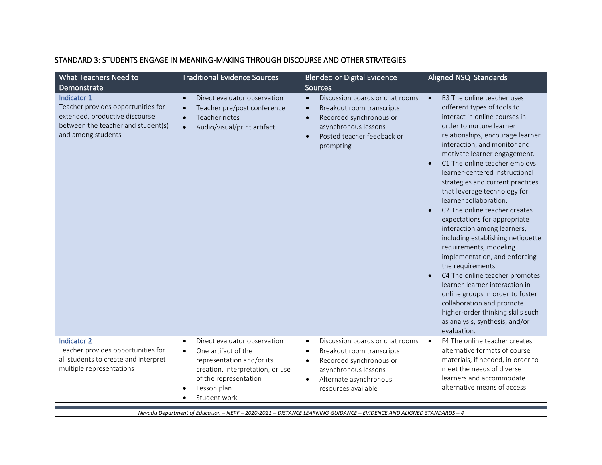| What Teachers Need to<br>Demonstrate                                                                                                            | <b>Traditional Evidence Sources</b>                                                                                                                                                                         | <b>Blended or Digital Evidence</b><br>Sources                                                                                                                                                                        | Aligned NSQ Standards                                                                                                                                                                                                                                                                                                                                                                                                                                                                                                                                                                                                                                                                                                                                                                                                                                                 |
|-------------------------------------------------------------------------------------------------------------------------------------------------|-------------------------------------------------------------------------------------------------------------------------------------------------------------------------------------------------------------|----------------------------------------------------------------------------------------------------------------------------------------------------------------------------------------------------------------------|-----------------------------------------------------------------------------------------------------------------------------------------------------------------------------------------------------------------------------------------------------------------------------------------------------------------------------------------------------------------------------------------------------------------------------------------------------------------------------------------------------------------------------------------------------------------------------------------------------------------------------------------------------------------------------------------------------------------------------------------------------------------------------------------------------------------------------------------------------------------------|
| Indicator 1<br>Teacher provides opportunities for<br>extended, productive discourse<br>between the teacher and student(s)<br>and among students | Direct evaluator observation<br>$\bullet$<br>Teacher pre/post conference<br>$\bullet$<br>Teacher notes<br>$\bullet$<br>Audio/visual/print artifact<br>$\bullet$                                             | Discussion boards or chat rooms<br>$\bullet$<br>Breakout room transcripts<br>$\bullet$<br>Recorded synchronous or<br>$\bullet$<br>asynchronous lessons<br>Posted teacher feedback or<br>$\bullet$<br>prompting       | B3 The online teacher uses<br>$\bullet$<br>different types of tools to<br>interact in online courses in<br>order to nurture learner<br>relationships, encourage learner<br>interaction, and monitor and<br>motivate learner engagement.<br>C1 The online teacher employs<br>$\bullet$<br>learner-centered instructional<br>strategies and current practices<br>that leverage technology for<br>learner collaboration.<br>C2 The online teacher creates<br>expectations for appropriate<br>interaction among learners,<br>including establishing netiquette<br>requirements, modeling<br>implementation, and enforcing<br>the requirements.<br>C4 The online teacher promotes<br>learner-learner interaction in<br>online groups in order to foster<br>collaboration and promote<br>higher-order thinking skills such<br>as analysis, synthesis, and/or<br>evaluation. |
| Indicator 2<br>Teacher provides opportunities for<br>all students to create and interpret<br>multiple representations                           | Direct evaluator observation<br>$\bullet$<br>One artifact of the<br>$\bullet$<br>representation and/or its<br>creation, interpretation, or use<br>of the representation<br>Lesson plan<br>٠<br>Student work | Discussion boards or chat rooms<br>$\bullet$<br>Breakout room transcripts<br>$\bullet$<br>Recorded synchronous or<br>$\bullet$<br>asynchronous lessons<br>Alternate asynchronous<br>$\bullet$<br>resources available | F4 The online teacher creates<br>$\bullet$<br>alternative formats of course<br>materials, if needed, in order to<br>meet the needs of diverse<br>learners and accommodate<br>alternative means of access.                                                                                                                                                                                                                                                                                                                                                                                                                                                                                                                                                                                                                                                             |

### STANDARD 3: STUDENTS ENGAGE IN MEANING-MAKING THROUGH DISCOURSE AND OTHER STRATEGIES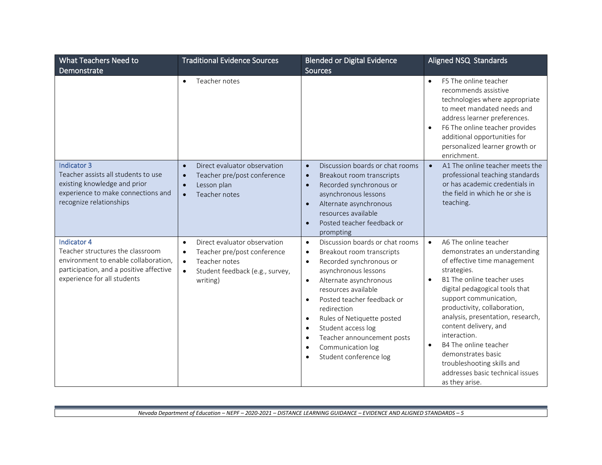| What Teachers Need to                                                                                                                                                    | <b>Traditional Evidence Sources</b>                                                                                                                                             | <b>Blended or Digital Evidence</b>                                                                                                                                                                                                                                                                                                                                                                                                                                               | Aligned NSQ Standards                                                                                                                                                                                                                                                                                                                                                                                                                                                                   |
|--------------------------------------------------------------------------------------------------------------------------------------------------------------------------|---------------------------------------------------------------------------------------------------------------------------------------------------------------------------------|----------------------------------------------------------------------------------------------------------------------------------------------------------------------------------------------------------------------------------------------------------------------------------------------------------------------------------------------------------------------------------------------------------------------------------------------------------------------------------|-----------------------------------------------------------------------------------------------------------------------------------------------------------------------------------------------------------------------------------------------------------------------------------------------------------------------------------------------------------------------------------------------------------------------------------------------------------------------------------------|
| Demonstrate                                                                                                                                                              |                                                                                                                                                                                 | <b>Sources</b>                                                                                                                                                                                                                                                                                                                                                                                                                                                                   |                                                                                                                                                                                                                                                                                                                                                                                                                                                                                         |
|                                                                                                                                                                          | Teacher notes<br>$\bullet$                                                                                                                                                      |                                                                                                                                                                                                                                                                                                                                                                                                                                                                                  | F5 The online teacher<br>$\bullet$<br>recommends assistive<br>technologies where appropriate<br>to meet mandated needs and<br>address learner preferences.<br>F6 The online teacher provides<br>additional opportunities for<br>personalized learner growth or<br>enrichment.                                                                                                                                                                                                           |
| Indicator 3<br>Teacher assists all students to use<br>existing knowledge and prior<br>experience to make connections and<br>recognize relationships                      | Direct evaluator observation<br>Teacher pre/post conference<br>Lesson plan<br>$\bullet$<br>Teacher notes<br>$\bullet$                                                           | Discussion boards or chat rooms<br>$\bullet$<br>Breakout room transcripts<br>$\bullet$<br>Recorded synchronous or<br>$\bullet$<br>asynchronous lessons<br>Alternate asynchronous<br>$\bullet$<br>resources available<br>Posted teacher feedback or<br>$\bullet$<br>prompting                                                                                                                                                                                                     | A1 The online teacher meets the<br>$\bullet$<br>professional teaching standards<br>or has academic credentials in<br>the field in which he or she is<br>teaching.                                                                                                                                                                                                                                                                                                                       |
| <b>Indicator 4</b><br>Teacher structures the classroom<br>environment to enable collaboration,<br>participation, and a positive affective<br>experience for all students | Direct evaluator observation<br>$\bullet$<br>Teacher pre/post conference<br>$\bullet$<br>Teacher notes<br>$\bullet$<br>Student feedback (e.g., survey,<br>$\bullet$<br>writing) | Discussion boards or chat rooms<br>$\bullet$<br>Breakout room transcripts<br>$\bullet$<br>Recorded synchronous or<br>$\bullet$<br>asynchronous lessons<br>Alternate asynchronous<br>$\bullet$<br>resources available<br>Posted teacher feedback or<br>$\bullet$<br>redirection<br>Rules of Netiquette posted<br>$\bullet$<br>Student access log<br>$\bullet$<br>Teacher announcement posts<br>$\bullet$<br>Communication log<br>$\bullet$<br>Student conference log<br>$\bullet$ | A6 The online teacher<br>$\bullet$<br>demonstrates an understanding<br>of effective time management<br>strategies.<br>B1 The online teacher uses<br>$\bullet$<br>digital pedagogical tools that<br>support communication,<br>productivity, collaboration,<br>analysis, presentation, research,<br>content delivery, and<br>interaction.<br>B4 The online teacher<br>$\bullet$<br>demonstrates basic<br>troubleshooting skills and<br>addresses basic technical issues<br>as they arise. |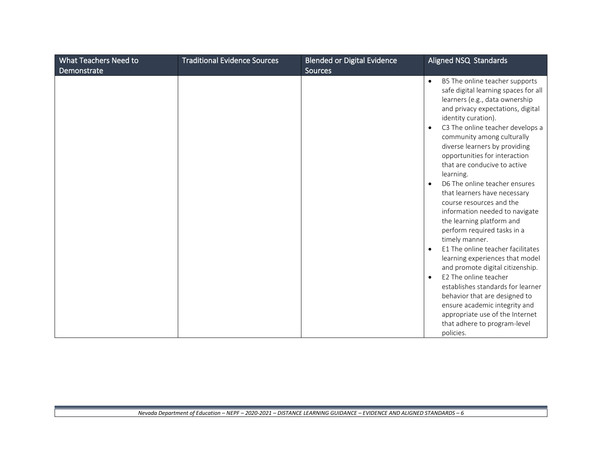| What Teachers Need to<br>Demonstrate | <b>Traditional Evidence Sources</b> | <b>Blended or Digital Evidence</b><br><b>Sources</b> | Aligned NSQ Standards                                                                                                                                                                                                                                                                                                                                                                                                                                                                                                                                                                                                                                                                          |
|--------------------------------------|-------------------------------------|------------------------------------------------------|------------------------------------------------------------------------------------------------------------------------------------------------------------------------------------------------------------------------------------------------------------------------------------------------------------------------------------------------------------------------------------------------------------------------------------------------------------------------------------------------------------------------------------------------------------------------------------------------------------------------------------------------------------------------------------------------|
|                                      |                                     |                                                      | B5 The online teacher supports<br>$\bullet$<br>safe digital learning spaces for all<br>learners (e.g., data ownership<br>and privacy expectations, digital<br>identity curation).<br>C3 The online teacher develops a<br>$\bullet$<br>community among culturally<br>diverse learners by providing<br>opportunities for interaction<br>that are conducive to active<br>learning.<br>D6 The online teacher ensures<br>$\bullet$<br>that learners have necessary<br>course resources and the<br>information needed to navigate<br>the learning platform and<br>perform required tasks in a<br>timely manner.<br>E1 The online teacher facilitates<br>$\bullet$<br>learning experiences that model |
|                                      |                                     |                                                      | and promote digital citizenship.<br>E2 The online teacher<br>$\bullet$                                                                                                                                                                                                                                                                                                                                                                                                                                                                                                                                                                                                                         |
|                                      |                                     |                                                      | establishes standards for learner<br>behavior that are designed to<br>ensure academic integrity and<br>appropriate use of the Internet<br>that adhere to program-level<br>policies.                                                                                                                                                                                                                                                                                                                                                                                                                                                                                                            |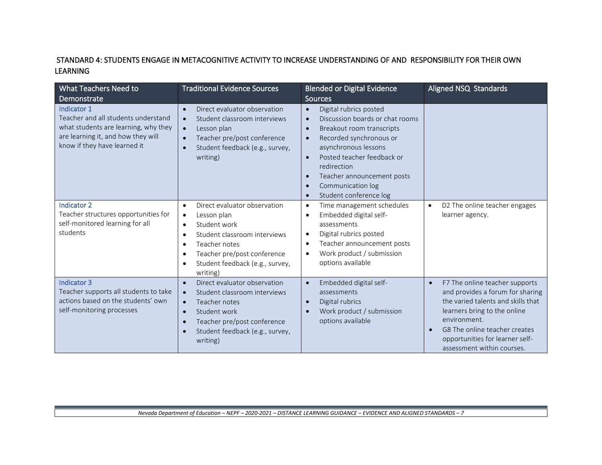### STANDARD 4: STUDENTS ENGAGE IN METACOGNITIVE ACTIVITY TO INCREASE UNDERSTANDING OF AND RESPONSIBILITY FOR THEIR OWN LEARNING

| What Teachers Need to<br>Demonstrate                                                                                                                             | <b>Traditional Evidence Sources</b>                                                                                                                                                                                                                                                   | <b>Blended or Digital Evidence</b><br><b>Sources</b>                                                                                                                                                                                                                                                                                                                        | Aligned NSQ Standards                                                                                                                                                                                                                                                   |
|------------------------------------------------------------------------------------------------------------------------------------------------------------------|---------------------------------------------------------------------------------------------------------------------------------------------------------------------------------------------------------------------------------------------------------------------------------------|-----------------------------------------------------------------------------------------------------------------------------------------------------------------------------------------------------------------------------------------------------------------------------------------------------------------------------------------------------------------------------|-------------------------------------------------------------------------------------------------------------------------------------------------------------------------------------------------------------------------------------------------------------------------|
| Indicator 1<br>Teacher and all students understand<br>what students are learning, why they<br>are learning it, and how they will<br>know if they have learned it | Direct evaluator observation<br>$\bullet$<br>Student classroom interviews<br>$\bullet$<br>Lesson plan<br>$\bullet$<br>Teacher pre/post conference<br>$\bullet$<br>Student feedback (e.g., survey,<br>$\bullet$<br>writing)                                                            | Digital rubrics posted<br>$\bullet$<br>Discussion boards or chat rooms<br>$\bullet$<br>Breakout room transcripts<br>$\bullet$<br>Recorded synchronous or<br>$\bullet$<br>asynchronous lessons<br>Posted teacher feedback or<br>$\bullet$<br>redirection<br>Teacher announcement posts<br>$\bullet$<br>Communication log<br>$\bullet$<br>Student conference log<br>$\bullet$ |                                                                                                                                                                                                                                                                         |
| <b>Indicator 2</b><br>Teacher structures opportunities for<br>self-monitored learning for all<br>students                                                        | Direct evaluator observation<br>$\bullet$<br>Lesson plan<br>$\bullet$<br>Student work<br>$\bullet$<br>Student classroom interviews<br>$\bullet$<br>Teacher notes<br>$\bullet$<br>Teacher pre/post conference<br>$\bullet$<br>Student feedback (e.g., survey,<br>$\bullet$<br>writing) | Time management schedules<br>$\bullet$<br>Embedded digital self-<br>$\bullet$<br>assessments<br>Digital rubrics posted<br>$\bullet$<br>Teacher announcement posts<br>$\bullet$<br>Work product / submission<br>$\bullet$<br>options available                                                                                                                               | D2 The online teacher engages<br>$\bullet$<br>learner agency.                                                                                                                                                                                                           |
| <b>Indicator 3</b><br>Teacher supports all students to take<br>actions based on the students' own<br>self-monitoring processes                                   | Direct evaluator observation<br>$\bullet$<br>Student classroom interviews<br>$\bullet$<br>Teacher notes<br>$\bullet$<br>Student work<br>$\bullet$<br>Teacher pre/post conference<br>$\bullet$<br>Student feedback (e.g., survey,<br>$\bullet$<br>writing)                             | Embedded digital self-<br>$\bullet$<br>assessments<br>Digital rubrics<br>$\bullet$<br>Work product / submission<br>$\bullet$<br>options available                                                                                                                                                                                                                           | F7 The online teacher supports<br>$\bullet$<br>and provides a forum for sharing<br>the varied talents and skills that<br>learners bring to the online<br>environment.<br>G8 The online teacher creates<br>opportunities for learner self-<br>assessment within courses. |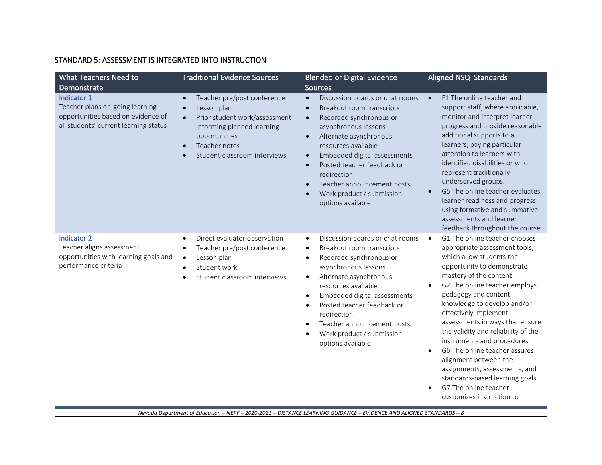### STANDARD 5: ASSESSMENT IS INTEGRATED INTO INSTRUCTION

| What Teachers Need to<br>Demonstrate                                                                                          | <b>Traditional Evidence Sources</b>                                                                                                                                                                                | <b>Blended or Digital Evidence</b><br><b>Sources</b>                                                                                                                                                                                                                                                                                                                                                                                  | Aligned NSQ Standards                                                                                                                                                                                                                                                                                                                                                                                                                                                                                                                                                                                    |
|-------------------------------------------------------------------------------------------------------------------------------|--------------------------------------------------------------------------------------------------------------------------------------------------------------------------------------------------------------------|---------------------------------------------------------------------------------------------------------------------------------------------------------------------------------------------------------------------------------------------------------------------------------------------------------------------------------------------------------------------------------------------------------------------------------------|----------------------------------------------------------------------------------------------------------------------------------------------------------------------------------------------------------------------------------------------------------------------------------------------------------------------------------------------------------------------------------------------------------------------------------------------------------------------------------------------------------------------------------------------------------------------------------------------------------|
| Indicator 1<br>Teacher plans on-going learning<br>opportunities based on evidence of<br>all students' current learning status | Teacher pre/post conference<br>$\bullet$<br>Lesson plan<br>Prior student work/assessment<br>$\bullet$<br>informing planned learning<br>opportunities<br>Teacher notes<br>$\bullet$<br>Student classroom interviews | Discussion boards or chat rooms<br>$\bullet$<br>Breakout room transcripts<br>$\bullet$<br>Recorded synchronous or<br>$\bullet$<br>asynchronous lessons<br>Alternate asynchronous<br>$\bullet$<br>resources available<br>Embedded digital assessments<br>$\bullet$<br>Posted teacher feedback or<br>$\bullet$<br>redirection<br>Teacher announcement posts<br>$\bullet$<br>Work product / submission<br>$\bullet$<br>options available | F1 The online teacher and<br>$\bullet$<br>support staff, where applicable,<br>monitor and interpret learner<br>progress and provide reasonable<br>additional supports to all<br>learners, paying particular<br>attention to learners with<br>identified disabilities or who<br>represent traditionally<br>underserved groups.<br>G5 The online teacher evaluates<br>learner readiness and progress<br>using formative and summative<br>assessments and learner<br>feedback throughout the course.                                                                                                        |
| <b>Indicator 2</b><br>Teacher aligns assessment<br>opportunities with learning goals and<br>performance criteria              | Direct evaluator observation<br>$\bullet$<br>Teacher pre/post conference<br>$\bullet$<br>Lesson plan<br>$\bullet$<br>Student work<br>$\bullet$<br>Student classroom interviews<br>$\bullet$                        | Discussion boards or chat rooms<br>$\bullet$<br>Breakout room transcripts<br>$\bullet$<br>Recorded synchronous or<br>$\bullet$<br>asynchronous lessons<br>Alternate asynchronous<br>$\bullet$<br>resources available<br>Embedded digital assessments<br>$\bullet$<br>Posted teacher feedback or<br>$\bullet$<br>redirection<br>Teacher announcement posts<br>$\bullet$<br>Work product / submission<br>$\bullet$<br>options available | G1 The online teacher chooses<br>$\bullet$<br>appropriate assessment tools,<br>which allow students the<br>opportunity to demonstrate<br>mastery of the content.<br>G2 The online teacher employs<br>pedagogy and content<br>knowledge to develop and/or<br>effectively implement<br>assessments in ways that ensure<br>the validity and reliability of the<br>instruments and procedures.<br>G6 The online teacher assures<br>$\bullet$<br>alignment between the<br>assignments, assessments, and<br>standards-based learning goals.<br>G7 The online teacher<br>$\bullet$<br>customizes instruction to |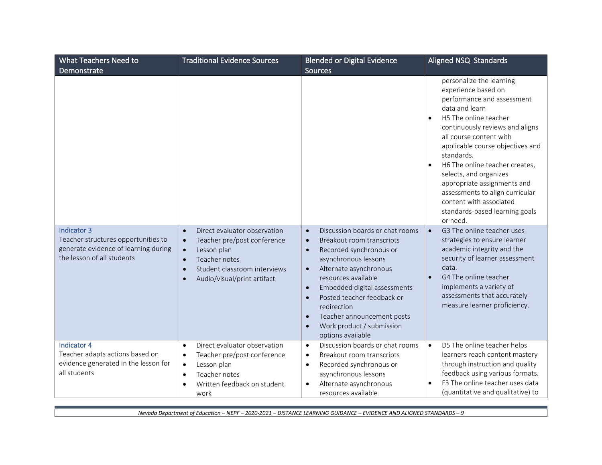| What Teachers Need to                                                                                                    | <b>Traditional Evidence Sources</b>                                                                                                                                                                                         | <b>Blended or Digital Evidence</b>                                                                                                                                                                                                                                                                                                                                                                                                    | Aligned NSQ Standards                                                                                                                                                                                                                                                                                                                                                                                                                                        |
|--------------------------------------------------------------------------------------------------------------------------|-----------------------------------------------------------------------------------------------------------------------------------------------------------------------------------------------------------------------------|---------------------------------------------------------------------------------------------------------------------------------------------------------------------------------------------------------------------------------------------------------------------------------------------------------------------------------------------------------------------------------------------------------------------------------------|--------------------------------------------------------------------------------------------------------------------------------------------------------------------------------------------------------------------------------------------------------------------------------------------------------------------------------------------------------------------------------------------------------------------------------------------------------------|
| Demonstrate                                                                                                              |                                                                                                                                                                                                                             | <b>Sources</b>                                                                                                                                                                                                                                                                                                                                                                                                                        |                                                                                                                                                                                                                                                                                                                                                                                                                                                              |
|                                                                                                                          |                                                                                                                                                                                                                             |                                                                                                                                                                                                                                                                                                                                                                                                                                       | personalize the learning<br>experience based on<br>performance and assessment<br>data and learn<br>H5 The online teacher<br>$\bullet$<br>continuously reviews and aligns<br>all course content with<br>applicable course objectives and<br>standards.<br>H6 The online teacher creates,<br>selects, and organizes<br>appropriate assignments and<br>assessments to align curricular<br>content with associated<br>standards-based learning goals<br>or need. |
| Indicator 3<br>Teacher structures opportunities to<br>generate evidence of learning during<br>the lesson of all students | Direct evaluator observation<br>Teacher pre/post conference<br>$\bullet$<br>Lesson plan<br>$\bullet$<br>Teacher notes<br>$\bullet$<br>Student classroom interviews<br>$\bullet$<br>Audio/visual/print artifact<br>$\bullet$ | Discussion boards or chat rooms<br>$\bullet$<br>Breakout room transcripts<br>$\bullet$<br>Recorded synchronous or<br>$\bullet$<br>asynchronous lessons<br>Alternate asynchronous<br>$\bullet$<br>resources available<br>Embedded digital assessments<br>$\bullet$<br>Posted teacher feedback or<br>$\bullet$<br>redirection<br>Teacher announcement posts<br>$\bullet$<br>Work product / submission<br>$\bullet$<br>options available | G3 The online teacher uses<br>$\bullet$<br>strategies to ensure learner<br>academic integrity and the<br>security of learner assessment<br>data.<br>G4 The online teacher<br>$\bullet$<br>implements a variety of<br>assessments that accurately<br>measure learner proficiency.                                                                                                                                                                             |
| <b>Indicator 4</b><br>Teacher adapts actions based on<br>evidence generated in the lesson for<br>all students            | Direct evaluator observation<br>$\bullet$<br>Teacher pre/post conference<br>Lesson plan<br>$\bullet$<br>Teacher notes<br>$\bullet$<br>Written feedback on student<br>work                                                   | Discussion boards or chat rooms<br>$\bullet$<br>Breakout room transcripts<br>$\bullet$<br>Recorded synchronous or<br>$\bullet$<br>asynchronous lessons<br>Alternate asynchronous<br>$\bullet$<br>resources available                                                                                                                                                                                                                  | D5 The online teacher helps<br>$\bullet$<br>learners reach content mastery<br>through instruction and quality<br>feedback using various formats.<br>F3 The online teacher uses data<br>(quantitative and qualitative) to                                                                                                                                                                                                                                     |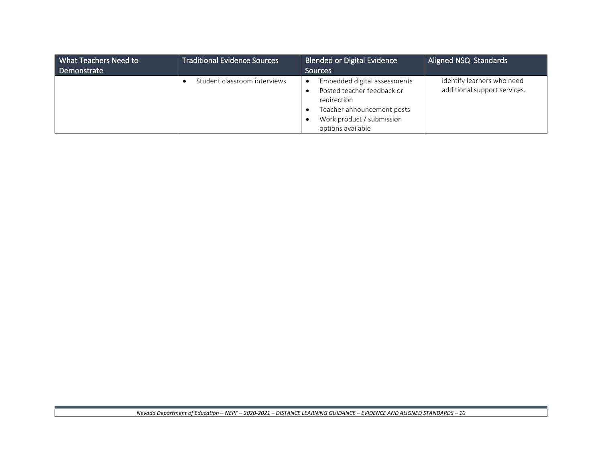| What Teachers Need to | <b>Traditional Evidence Sources</b> | <b>Blended or Digital Evidence</b>        | Aligned NSQ Standards        |
|-----------------------|-------------------------------------|-------------------------------------------|------------------------------|
| Demonstrate           |                                     | <b>Sources</b>                            |                              |
|                       | Student classroom interviews        | Embedded digital assessments<br>$\bullet$ | identify learners who need   |
|                       |                                     | Posted teacher feedback or                | additional support services. |
|                       |                                     | redirection                               |                              |
|                       |                                     | Teacher announcement posts                |                              |
|                       |                                     | Work product / submission                 |                              |
|                       |                                     | options available                         |                              |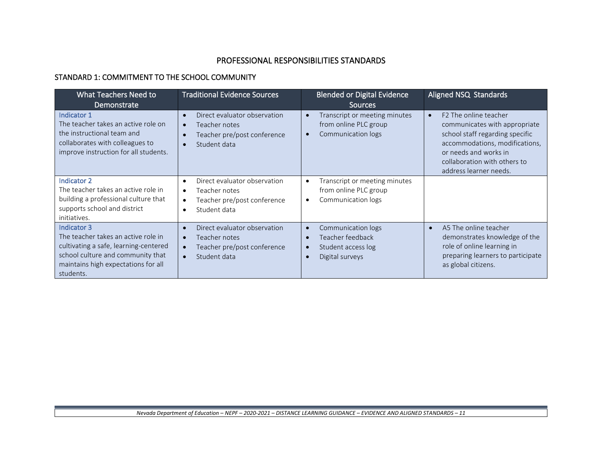## PROFESSIONAL RESPONSIBILITIES STANDARDS

### STANDARD 1: COMMITMENT TO THE SCHOOL COMMUNITY

| What Teachers Need to<br>Demonstrate                                                                                                                                                 | <b>Traditional Evidence Sources</b>                                                                                                              | <b>Blended or Digital Evidence</b><br><b>Sources</b>                                                                                | Aligned NSQ Standards                                                                                                                                                                                                      |
|--------------------------------------------------------------------------------------------------------------------------------------------------------------------------------------|--------------------------------------------------------------------------------------------------------------------------------------------------|-------------------------------------------------------------------------------------------------------------------------------------|----------------------------------------------------------------------------------------------------------------------------------------------------------------------------------------------------------------------------|
| Indicator 1<br>The teacher takes an active role on<br>the instructional team and<br>collaborates with colleagues to<br>improve instruction for all students.                         | Direct evaluator observation<br>Teacher notes<br>Teacher pre/post conference<br>Student data                                                     | Transcript or meeting minutes<br>$\bullet$<br>from online PLC group<br>Communication logs<br>$\bullet$                              | F <sub>2</sub> The online teacher<br>communicates with appropriate<br>school staff regarding specific<br>accommodations, modifications,<br>or needs and works in<br>collaboration with others to<br>address learner needs. |
| Indicator 2<br>The teacher takes an active role in<br>building a professional culture that<br>supports school and district<br>initiatives.                                           | Direct evaluator observation<br>$\bullet$<br>Teacher notes<br>$\bullet$<br>Teacher pre/post conference<br>$\bullet$<br>Student data<br>$\bullet$ | Transcript or meeting minutes<br>$\bullet$<br>from online PLC group<br>Communication logs<br>$\bullet$                              |                                                                                                                                                                                                                            |
| Indicator 3<br>The teacher takes an active role in<br>cultivating a safe, learning-centered<br>school culture and community that<br>maintains high expectations for all<br>students. | Direct evaluator observation<br>Teacher notes<br>Teacher pre/post conference<br>Student data                                                     | Communication logs<br>$\bullet$<br>Teacher feedback<br>$\bullet$<br>Student access log<br>$\bullet$<br>Digital surveys<br>$\bullet$ | A5 The online teacher<br>$\bullet$<br>demonstrates knowledge of the<br>role of online learning in<br>preparing learners to participate<br>as global citizens.                                                              |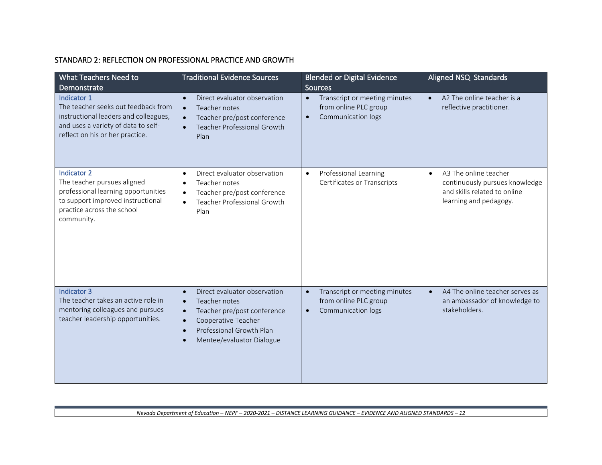### STANDARD 2: REFLECTION ON PROFESSIONAL PRACTICE AND GROWTH

| What Teachers Need to<br>Demonstrate                                                                                                                                      | <b>Traditional Evidence Sources</b>                                                                                                                                                                                                        | <b>Blended or Digital Evidence</b><br><b>Sources</b>                                                   | Aligned NSQ Standards                                                                                                          |
|---------------------------------------------------------------------------------------------------------------------------------------------------------------------------|--------------------------------------------------------------------------------------------------------------------------------------------------------------------------------------------------------------------------------------------|--------------------------------------------------------------------------------------------------------|--------------------------------------------------------------------------------------------------------------------------------|
| Indicator 1<br>The teacher seeks out feedback from<br>instructional leaders and colleagues,<br>and uses a variety of data to self-<br>reflect on his or her practice.     | Direct evaluator observation<br>$\bullet$<br>Teacher notes<br>$\bullet$<br>Teacher pre/post conference<br><b>Teacher Professional Growth</b><br>$\bullet$<br>Plan                                                                          | Transcript or meeting minutes<br>$\bullet$<br>from online PLC group<br>Communication logs<br>$\bullet$ | A2 The online teacher is a<br>$\bullet$<br>reflective practitioner.                                                            |
| <b>Indicator 2</b><br>The teacher pursues aligned<br>professional learning opportunities<br>to support improved instructional<br>practice across the school<br>community. | Direct evaluator observation<br>$\bullet$<br>Teacher notes<br>$\bullet$<br>Teacher pre/post conference<br>$\bullet$<br><b>Teacher Professional Growth</b><br>$\bullet$<br>Plan                                                             | Professional Learning<br>$\bullet$<br>Certificates or Transcripts                                      | A3 The online teacher<br>$\bullet$<br>continuously pursues knowledge<br>and skills related to online<br>learning and pedagogy. |
| <b>Indicator 3</b><br>The teacher takes an active role in<br>mentoring colleagues and pursues<br>teacher leadership opportunities.                                        | Direct evaluator observation<br>$\bullet$<br>Teacher notes<br>$\bullet$<br>Teacher pre/post conference<br>$\bullet$<br>Cooperative Teacher<br>$\bullet$<br>Professional Growth Plan<br>$\bullet$<br>Mentee/evaluator Dialogue<br>$\bullet$ | Transcript or meeting minutes<br>$\bullet$<br>from online PLC group<br>Communication logs<br>$\bullet$ | A4 The online teacher serves as<br>$\bullet$<br>an ambassador of knowledge to<br>stakeholders.                                 |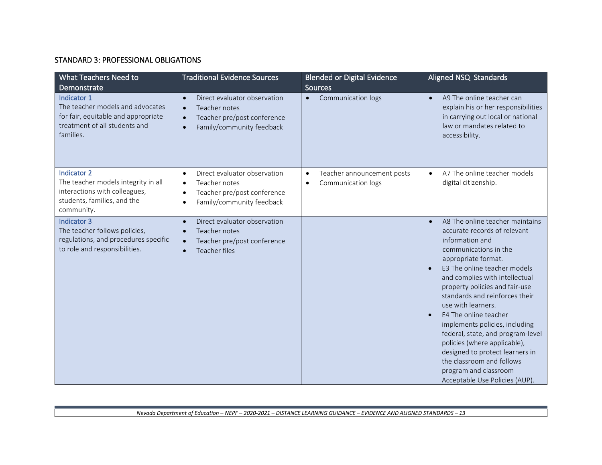### STANDARD 3: PROFESSIONAL OBLIGATIONS

| What Teachers Need to<br>Demonstrate                                                                                                 | <b>Traditional Evidence Sources</b>                                                                                                                           | <b>Blended or Digital Evidence</b><br><b>Sources</b>                       | Aligned NSQ Standards                                                                                                                                                                                                                                                                                                                                                                                                                                                                                                                                                  |
|--------------------------------------------------------------------------------------------------------------------------------------|---------------------------------------------------------------------------------------------------------------------------------------------------------------|----------------------------------------------------------------------------|------------------------------------------------------------------------------------------------------------------------------------------------------------------------------------------------------------------------------------------------------------------------------------------------------------------------------------------------------------------------------------------------------------------------------------------------------------------------------------------------------------------------------------------------------------------------|
| Indicator 1<br>The teacher models and advocates<br>for fair, equitable and appropriate<br>treatment of all students and<br>families. | Direct evaluator observation<br>$\bullet$<br>Teacher notes<br>$\bullet$<br>Teacher pre/post conference<br>$\bullet$<br>Family/community feedback<br>$\bullet$ | Communication logs<br>$\bullet$                                            | A9 The online teacher can<br>$\bullet$<br>explain his or her responsibilities<br>in carrying out local or national<br>law or mandates related to<br>accessibility.                                                                                                                                                                                                                                                                                                                                                                                                     |
| Indicator 2<br>The teacher models integrity in all<br>interactions with colleagues,<br>students, families, and the<br>community.     | Direct evaluator observation<br>$\bullet$<br>Teacher notes<br>$\bullet$<br>Teacher pre/post conference<br>$\bullet$<br>Family/community feedback<br>$\bullet$ | Teacher announcement posts<br>$\bullet$<br>Communication logs<br>$\bullet$ | A7 The online teacher models<br>$\bullet$<br>digital citizenship.                                                                                                                                                                                                                                                                                                                                                                                                                                                                                                      |
| <b>Indicator 3</b><br>The teacher follows policies,<br>regulations, and procedures specific<br>to role and responsibilities.         | Direct evaluator observation<br>$\bullet$<br>Teacher notes<br>$\bullet$<br>Teacher pre/post conference<br>$\bullet$<br><b>Teacher files</b><br>$\bullet$      |                                                                            | A8 The online teacher maintains<br>$\bullet$<br>accurate records of relevant<br>information and<br>communications in the<br>appropriate format.<br>E3 The online teacher models<br>and complies with intellectual<br>property policies and fair-use<br>standards and reinforces their<br>use with learners.<br>E4 The online teacher<br>implements policies, including<br>federal, state, and program-level<br>policies (where applicable),<br>designed to protect learners in<br>the classroom and follows<br>program and classroom<br>Acceptable Use Policies (AUP). |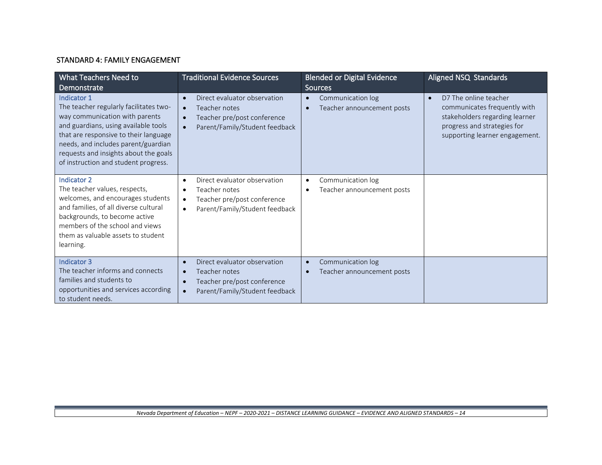### STANDARD 4: FAMILY ENGAGEMENT

| What Teachers Need to<br>Demonstrate                                                                                                                                                                                                                                                             | <b>Traditional Evidence Sources</b>                                                                                                                                | <b>Blended or Digital Evidence</b><br><b>Sources</b>                      | Aligned NSQ Standards                                                                                                                                                 |
|--------------------------------------------------------------------------------------------------------------------------------------------------------------------------------------------------------------------------------------------------------------------------------------------------|--------------------------------------------------------------------------------------------------------------------------------------------------------------------|---------------------------------------------------------------------------|-----------------------------------------------------------------------------------------------------------------------------------------------------------------------|
| Indicator 1<br>The teacher regularly facilitates two-<br>way communication with parents<br>and guardians, using available tools<br>that are responsive to their language<br>needs, and includes parent/guardian<br>requests and insights about the goals<br>of instruction and student progress. | Direct evaluator observation<br>$\bullet$<br>Teacher notes<br>$\bullet$<br>Teacher pre/post conference<br>$\bullet$<br>Parent/Family/Student feedback<br>$\bullet$ | Communication log<br>$\bullet$<br>Teacher announcement posts<br>$\bullet$ | D7 The online teacher<br>$\bullet$<br>communicates frequently with<br>stakeholders regarding learner<br>progress and strategies for<br>supporting learner engagement. |
| <b>Indicator 2</b><br>The teacher values, respects,<br>welcomes, and encourages students<br>and families, of all diverse cultural<br>backgrounds, to become active<br>members of the school and views<br>them as valuable assets to student<br>learning.                                         | Direct evaluator observation<br>Teacher notes<br>Teacher pre/post conference<br>$\bullet$<br>Parent/Family/Student feedback<br>$\bullet$                           | Communication log<br>$\bullet$<br>Teacher announcement posts<br>$\bullet$ |                                                                                                                                                                       |
| Indicator 3<br>The teacher informs and connects<br>families and students to<br>opportunities and services according<br>to student needs.                                                                                                                                                         | Direct evaluator observation<br>$\bullet$<br>Teacher notes<br>$\bullet$<br>Teacher pre/post conference<br>$\bullet$<br>Parent/Family/Student feedback              | Communication log<br>$\bullet$<br>Teacher announcement posts<br>$\bullet$ |                                                                                                                                                                       |